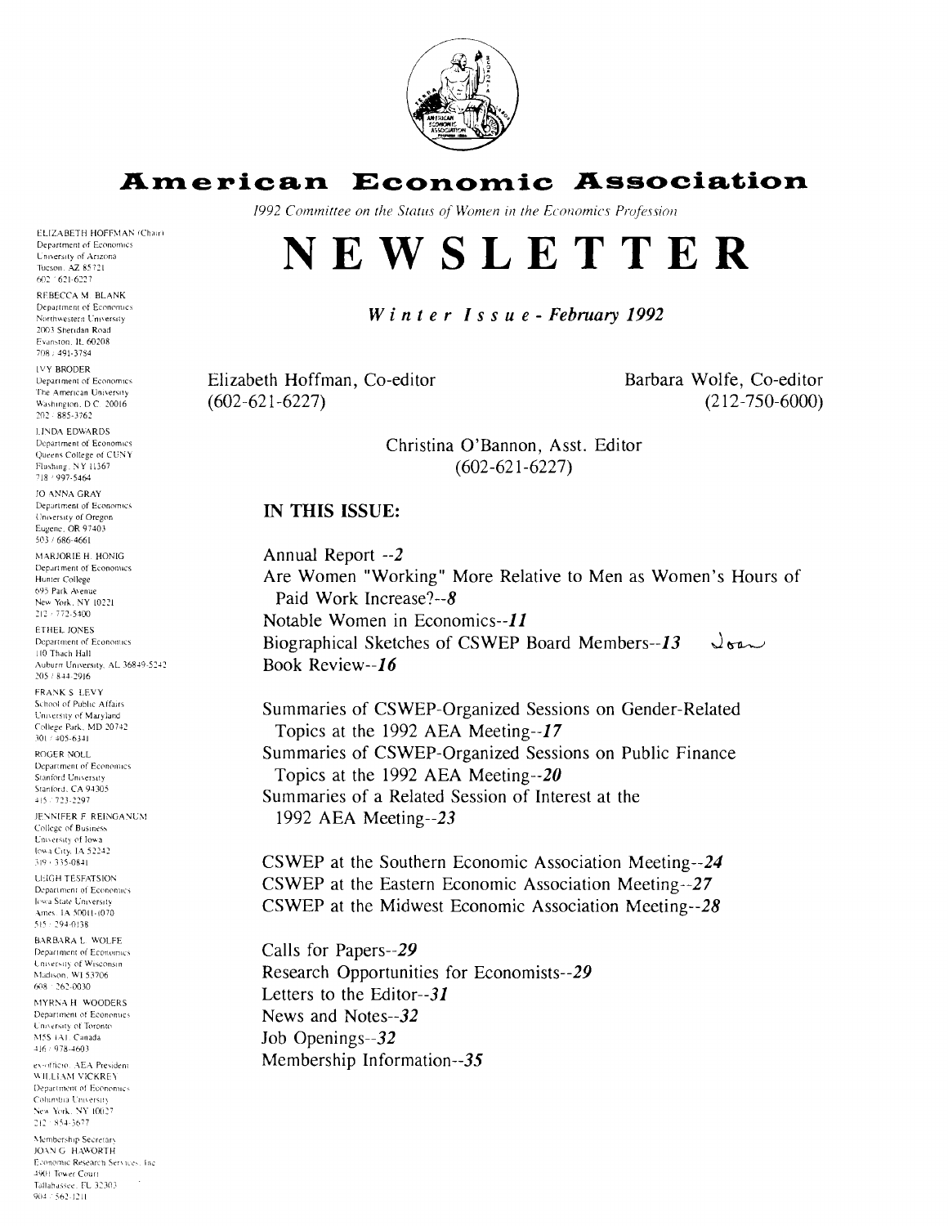

## **American Economia Association**

1992 Committee on the Status of Women in the Economics Profession

# **NEWSLETTER**

#### Winter Issue - February 1992

Elizabeth Hoffman, Co-editor  $(602 - 621 - 6227)$ 

Barbara Wolfe, Co-editor (2 12-750-6000)

Christina O'Bannon, Asst. Editor  $(602 - 621 - 6227)$ 

#### **IN THIS ISSUE:**

Annual Report --2 Are Women "Working" More Relative to Men as Women's Hours of Paid Work Increase?--8 Notable Women in Economics--11 Biographical Sketches of CSWEP Board Members--13  $\sqrt{8a}$ Book Review--16

Summaries of CSWEP-Organized Sessions on Gender-Related Topics at the 1992 AEA Meeting--17 Summaries of CSWEP-Organized Sessions on Public Finance Topics at the 1992 AEA Meeting $-20$ Summaries of a Related Session of Interest at the 1992 AEA Meeting--23

CSWEP at the Southern Economic Association Meeting--24 CSWEP at the Eastern Economic Association Meeting--27 CSWEP at the Midwest Economic Association Meeting--28

Calls for Papers--29 Research Opportunities for Economists--29 Letters to the Editor--31 News and Notes--32 Job Openings--32 Membership Information--35

Department of Economics University of Arizona Tucson. AZ 85721 602 1621-6227 REBECCA M. BLANK Department of Economics Northwestern University 2003 Sheridan Road Evanston, IL 60208 708 / 491-3784 **IVY BRODER** Department of Economics The American University Washington, D.C. 20016  $202 \div 885 \!\cdot\! 3762$ **LINDA EDWARDS** Department of Economics Queens College of CUNY Flushing, NY 11367 718 / 997-5464 JO ANNA GRAY Department of Economics University of Oregon<br>Eugene, OR 97403 503 / 686-4661 MARJORIE H. HONIG Department of Economics

ELIZABETH HOFFMAN (Chair)

Hunter College 695 Park Avenue New York, NY 10221  $212 \div 772 \!\cdot\! 5400$ ETHEL JONES Department of Economics 110 Thach Hall Auburn University, AL 36849-5242 205 / 844-2916 FRANK S LEVY

School of Public Affairs University of Maryland College Park, MD 20742 301 / 405-6341

ROGER NOLL Department of Economics Stanford University Stanford, CA 94305 415 / 723-2297

JENNIFER F. REINGANUM College of Business Enversity of Iowa Iowa City, IA 52242  $319 + 335 - 0841$ **LEIGH TESEATSION** 

Department of Economics **Jowa State University** Ames. IA 50011-1070 515 : 294-0138

**BARBARA L. WOLFE** Department of Economics University of Wisconsin Madison, WI 53706  $608 + 262 - 0030$ 

MYRNA H WOODERS Department of Economics University of Toronto M5S 1A1. Canada 416 / 978-4603

ex-officio. AEA President WILLIAM VICKREY Department of Economics Columbia University New York, NY 10027  $212 \cdot 854.3677$ 

Membership Secretary JOAN G HAWORTH Economic Research Services, Inc. 4901 Tower Court Tallahassee, FU 32303  $904:562-1211$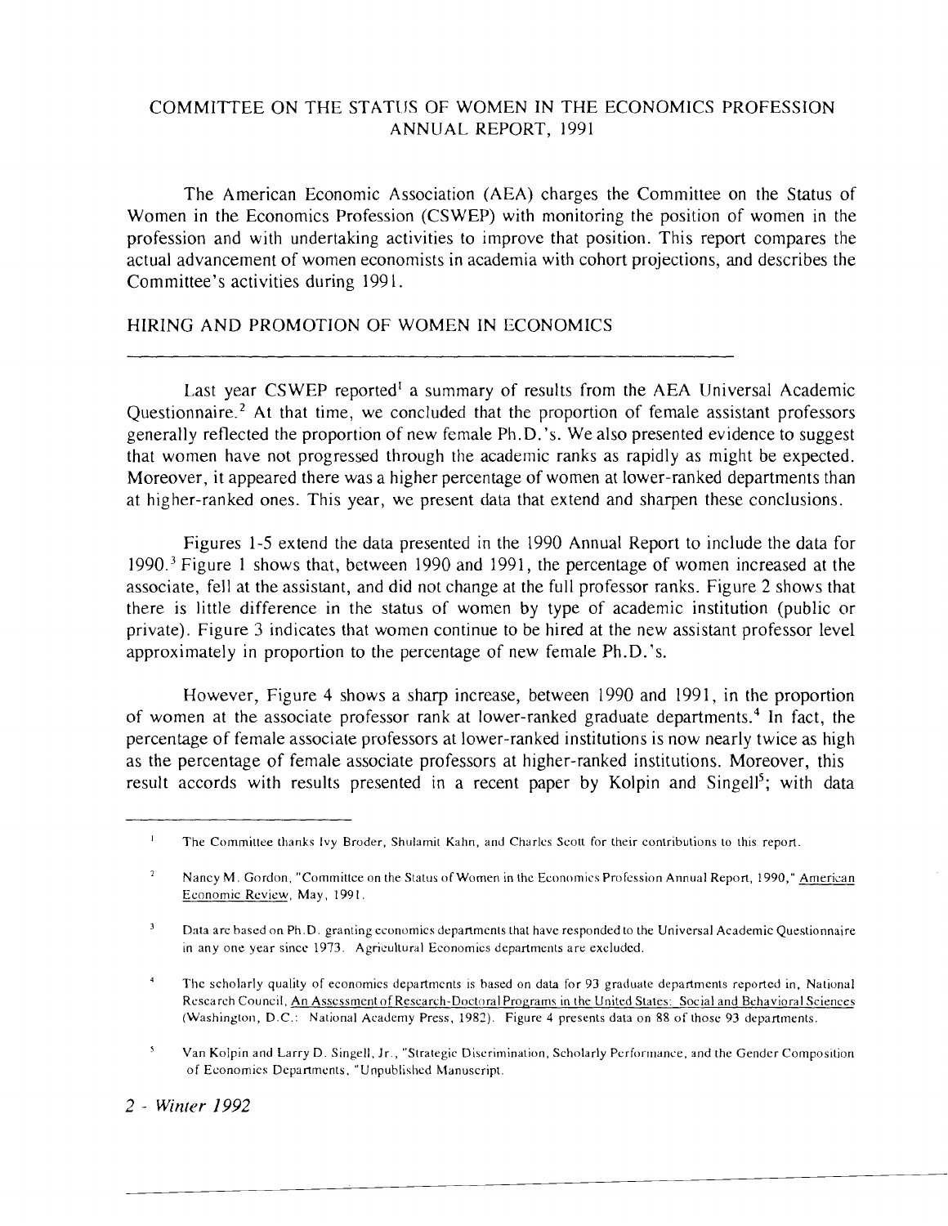### COMMITTEE ON THE STATIJS OF WOMEN IN THE ECONOMICS PROFESSION ANNUAL REPORT, 1991

The American Economic Association (AEA) charges the Committee on the Status of Women in the Economics Profession (CSWEP) with monitoring the position of women in the profession and with undertaking activities to improve that position. This report compares the actual advancement of women economists in academia with cohort projections, and describes the Committee's activities during 199 1.

### HIRING AND PROMOTION OF WOMEN IN ECONOMICS

Last year CSWEP reported' a summary of results from the AEA Universal Academic Questionnaire.<sup> $2$ </sup> At that time, we concluded that the proportion of female assistant professors generally reflected the proportion of new female Ph.D.'s. We also presented evidence to suggest that women have not progressed through the academic ranks as rapidly as might be expected. Moreover, it appeared there was a higher percentage of women at lower-ranked departments than at higher-ranked ones. This year, we present data that extend and sharpen these conclusions.

Figures 1-5 extend the data presented in the 1990 Annual Report to include the data for 1990.3 Figure 1 shows that, between 1990 and 1991, the percentage of women increased at the associate, fell at the assistant, and did not change at the full professor ranks. Figure 2 shows that there is little difference in the status of women by type of academic institution (public or private). Figure 3 indicates that women continue to be hired at the new assistant professor level approximately in proportion to the percentage of new female Ph.D.'s.

However, Figure 4 shows a sharp increase, between 1990 and 1991, in the proportion of women at the associate professor rank at lower-ranked graduate departments.<sup>4</sup> In fact, the percentage of female associate professors at lower-ranked institutions is now nearly twice as high as the percentage of female associate professors at higher-ranked institutions. Moreover, this result accords with results presented in a recent paper by Kolpin and Singell<sup>5</sup>; with data

#### 2 - *Winter 1992*

<sup>&</sup>lt;sup>1</sup> The Committee thanks Ivy Broder, Shulamit Kalin, and Charles Scott for their contributions to this report.

 $\overline{2}$ Nancy M. Gordon, "Committee on the Status of Women in the Economics Profession Annual Report, 1990," American Economic Review, May, 1991.

<sup>&</sup>lt;sup>3</sup> Data arc based on Ph.D. granting economics departments that have responded to the Universal Academic Questionnaire in any one year since 1973. Agricultural Economics departments are excluded.

<sup>&</sup>lt;sup>4</sup> The scholarly quality of economics departments is based on data for 93 graduate departments reported in, National Rcscareh Council. An Asscssmcntof Research-Doctoral Programs in the United States: Social and Behavioral Sciences (Washington, D.C.: National Academy Press. 1987). Figure 4 presents data on 88 of those 93 departments.

 $\mathbf{S}$ Van Kolpin and Larry D. Singell, Jr., "Strategic Discrimination, Scholarly Performance, and the Gender Composition of Economics Departments. "Unpublished Manuscript.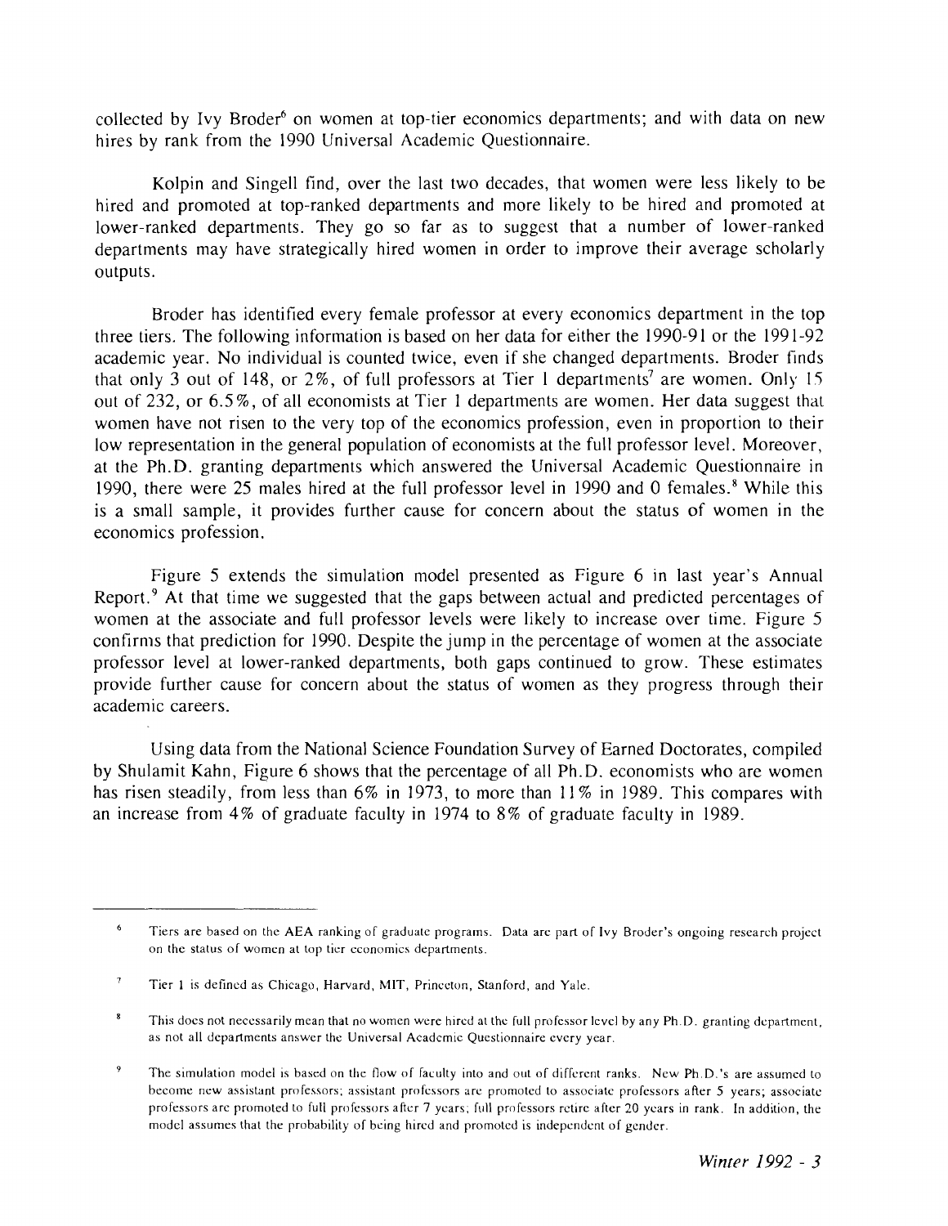collected by Ivy Broder<sup>6</sup> on women at top-tier economics departments; and with data on new hires by rank from the 1990 Universal Academic Questionnaire.

Kolpin and Singell find, over the last two decades, that women were less likely to be hired and promoted at top-ranked departments and more likely to be hired and promoted at lower-ranked departments. They go so far as to suggest that a number of lower-ranked departments may have strategically hired women in order to improve their average scholarly outputs.

Broder has identified every female professor at every economics department in the top three tiers. The following information is based on her data for either the 1990-91 or the 1991-92 academic year. No individual is counted twice, even if she changed departments. Broder finds that only 3 out of 148, or 2%, of full professors at Tier 1 departments<sup>7</sup> are women. Only 15 out of 232, or 6.5%, of all economists at Tier 1 departments are women. Her data suggest thal women have not risen to the very top of the economics profession, even in proportion to their low representation in the general population of economists at the full professor level. Moreover, at the Ph.D. granting departments which answered the Universal Academic Questionnaire in 1990, there were 25 males hired at the full professor level in 1990 and 0 females. $<sup>8</sup>$  While this</sup> is a small sample, it provides further cause for concern about the status of women in the economics profession.

Figure 5 extends the simulation model presented as Figure 6 in last year's Annual Report.<sup>9</sup> At that time we suggested that the gaps between actual and predicted percentages of women at the associate and full professor levels were likely to increase over time. Figure *5*  confirms that prediction for 1990. Despite the jump in the percentage of women at the associate professor level at lower-ranked departments, both gaps continued to grow. These estimates provide further cause for concern about the status of women as they progress through their academic careers.

Using data from the National Science Foundation Survey of Earned Doctorates, compiled by Shulamit Kahn, Figure 6 shows that the percentage of all Ph.D. economists who are women has risen steadily, from less than 6% in 1973, to more than 11% in 1989. This compares with an increase from 4% of graduate faculty in 1974 to 8% of graduate faculty in 1989.

 $6\overline{6}$ Tiers are based on the AEA ranking of graduate programs. Data are part of Ivy Broder's ongoing research project on the status of women at top tier economics departments.

<sup>&</sup>lt;sup>7</sup> Tier 1 is defined as Chicago, Harvard, MIT, Princeton, Stanford, and Yale.

 $\bf{8}$ This does not necessarily mean that no women were hircd at thc full professor level by any Ph.D. granting department, as not all departments answer the Universal Acadcmic Questionnaire cvery year.

 $\mathbf{9}$ The simulation model is based on the flow of faculty into and out of different ranks. New Ph.D.'s are assumed to become new assistant professors; assistant professors are promoted to associate professors after *5* years; associate professors are promoted to full professors after 7 ycars; full professors retire after 20 ycars in rank. In addition, the model assumes that the probability of being hircd and promoted is independent of gcndcr.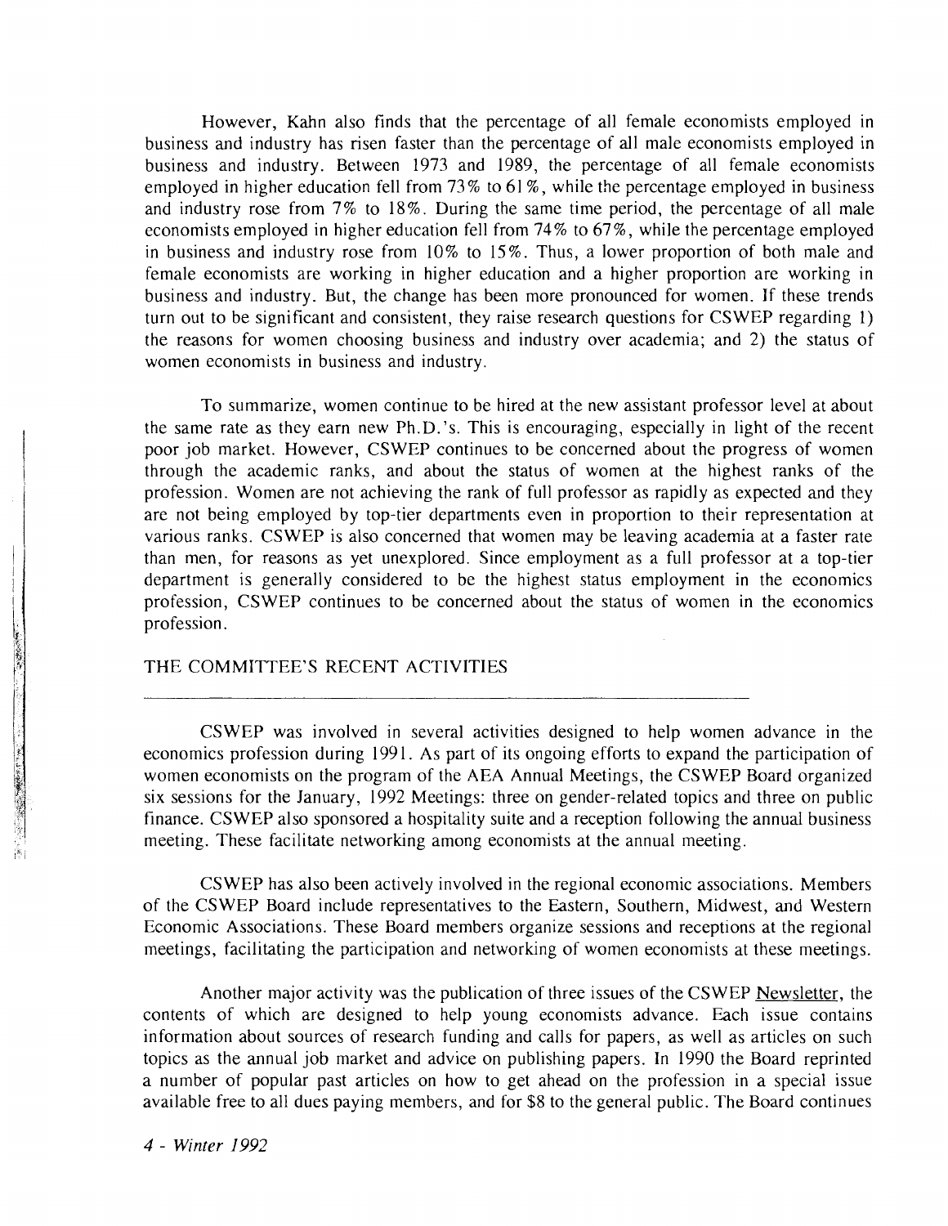However, Kahn also finds that the percentage of all female economists employed in business and industry has risen faster than the percentage of all male economists employed in business and industry. Between 1973 and 1989, the percentage of all female economists employed in higher education fell from 73% to 61%, while the percentage employed in business and industry rose from 7% to 18%. During the same time period, the percentage of all male economists employed in higher education fell from 74% to 67%, while the percentage employed in business and industry rose from 10% to 15 %. Thus, a lower proportion of both male and female economists are working in higher education and a higher proportion are working in business and industry. But, the change has been more pronounced for women. If these trends turn out to be significant and consistent, they raise research questions for CSWEP regarding 1) the reasons for women choosing business and industry over academia; and 2) the status of women economists in business and industry.

To summarize, women continue to be hired at the new assistant professor level at about the same rate as they earn new Ph.D.'s. This is encouraging, especially in light of the recent poor job market. However, CSWEP continues to be concerned about the progress of women through the academic ranks, and about the status of women at the highest ranks of the profession. Women are not achieving the rank of full professor as rapidly as expected and they are not being employed by top-tier departments even in proportion to their representation at various ranks. CSWEP is also concerned that women may be leaving academia at a faster rate than men, for reasons as yet unexplored. Since employment as a full professor at a top-tier department is generally considered to be the highest status employment in the economics profession, CSWEP continues to be concerned about the status of women in the economics profession.

#### THE COMMITTEE'S RECENT ACTIVITIES

CSWEP was involved in several activities designed to help women advance in the economics profession during 199 1. As part of its ongoing efforts to expand the participation of women economists on the program of the AEA Annual Meetings, the CSWEP Board organized six sessions for the January, 1992 Meetings: three on gender-related topics and three on public finance. CSWEP also sponsored a hospitality suite and a reception following the annual business meeting. These facilitate networking among economists at the annual meeting.

CSWEP has also been actively involved in the regional economic associations. Members of the CSWEP Board include representatives to the Eastern, Southern, Midwest, and Western Economic Associations. These Board members organize sessions and receptions at the regional meetings, facilitating the participation and networking of women economists at these meetings.

Another major activity was the publication of three issues of the CSWEP Newsletter, the contents of which are designed to help young economists advance. Each issue contains information about sources of research funding and calls for papers, as well as articles on such topics as the annual job market and advice on publishing papers. In 1990 the Board reprinted a number of popular past articles on how to get ahead on the profession in a special issue available free to all dues paying members, and for \$8 to the general public. The Board continues

「まずに、自動の場所には、「この「この」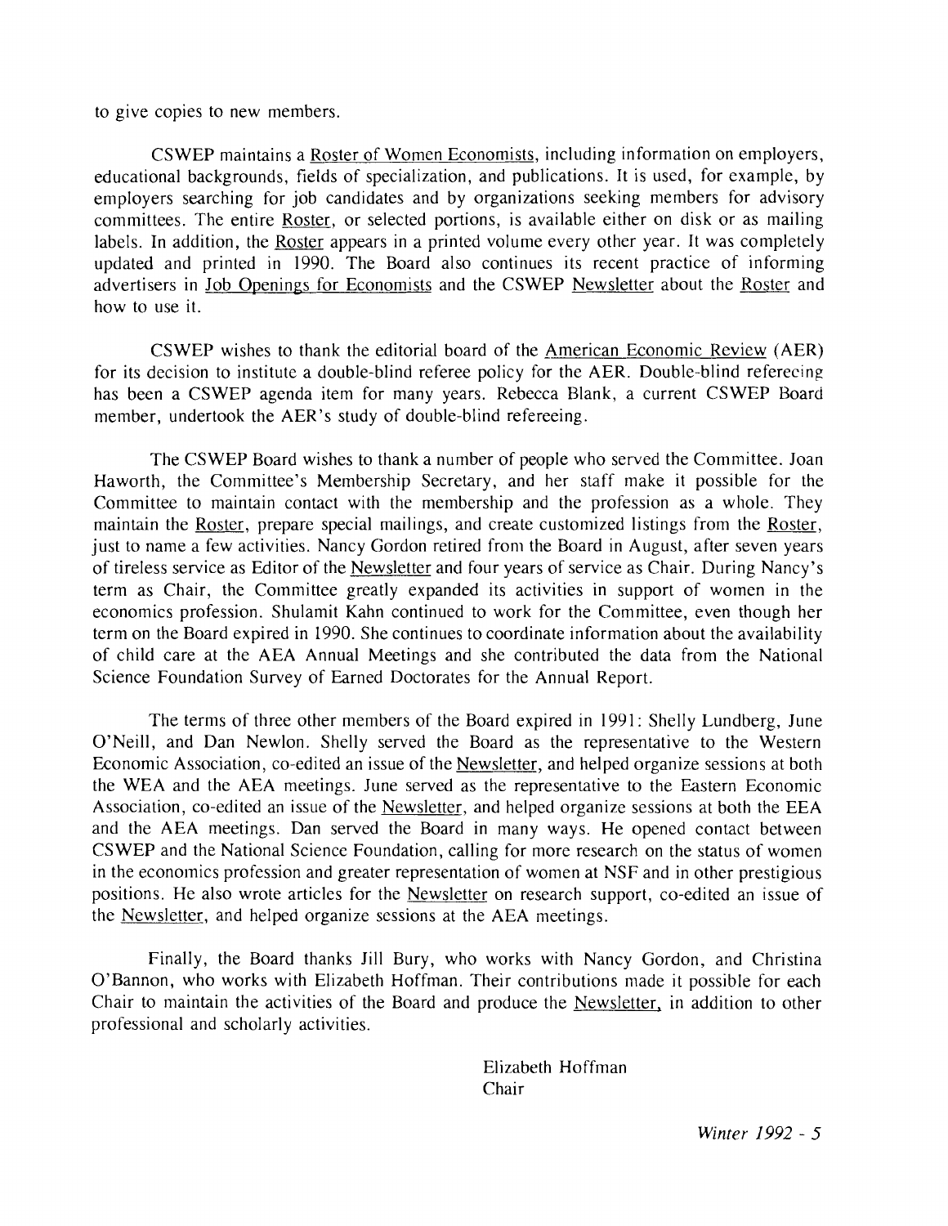to give copies to new members.

CSWEP maintains a Roster of Women Economists, including information on employers, educational backgrounds, fields of specialization, and publications. It is used, for example, by employers searching for job candidates and by organizations seeking members for advisory committees. The entire Roster, or selected portions, is available either on disk or as mailing labels. In addition, the Roster appears in a printed volume every other year. It was completely updated and printed in 1990. The Board also continues its recent practice of informing advertisers in Job Openings for Economists and the CSWEP Newsletter about the Roster and how to use it.

CSWEP wishes to thank the editorial board of the American Economic Review (AER) for its decision to institute a double-blind referee policy for the AER. Double-blind refereeing has been a CSWEP agenda item for many years. Rebecca Blank, a current CSWEP Board member, undertook the AER's study of double-blind refereeing.

The CSWEP Board wishes to thank a number of people who served the Committee. Joan Haworth, the Committee's Membership Secretary, and her staff make it possible for the Committee to maintain contact with the membership and the profession as a whole. They maintain the Roster, prepare special mailings, and create customized listings from the Roster, just to name a few activities. Nancy Gordon retired from the Board in August, after seven years of tireless service as Editor of the Newsletter and four years of service as Chair. During Nancy's term as Chair, the Committee greatly expanded its activities in support of women in the economics profession. Shulamit Kahn continued to work for the Committee, even though her term on the Board expired in 1990. She continues to coordinate information about the availability of child care at the AEA Annual Meetings and she contributed the data from the National Science Foundation Survey of Earned Doctorates for the Annual Report.

The terms of three other members of the Board expired in 1991: Shelly Lundberg, June O'Neill, and Dan Newlon. Shelly served the Board as the representative to the Western Economic Association, co-edited an issue of the Newsletter, and helped organize sessions at both the WEA and the AEA meetings. June served as the representative to the Eastern Economic Association, co-edited an issue of the Newsletter, and helped organize sessions at both the EEA and the AEA meetings. Dan served the Board in many ways. He opened contact between CSWEP and the National Science Foundation, calling for more research on the status of women in the economics profession and greater representation of women at NSF and in other prestigious positions. He also wrote articles for the Newsletter on research support, co-edited an issue of the Newsletter, and helped organize sessions at the AEA meetings.

Finally, the Board thanks Jill Bury, who works with Nancy Gordon, and Christina O'Bannon, who works with Elizabeth Hoffman. Their contributions made it possible for each Chair to maintain the activities of the Board and produce the Newsletter, in addition to other professional and scholarly activities.

> Elizabeth Hoffman Chair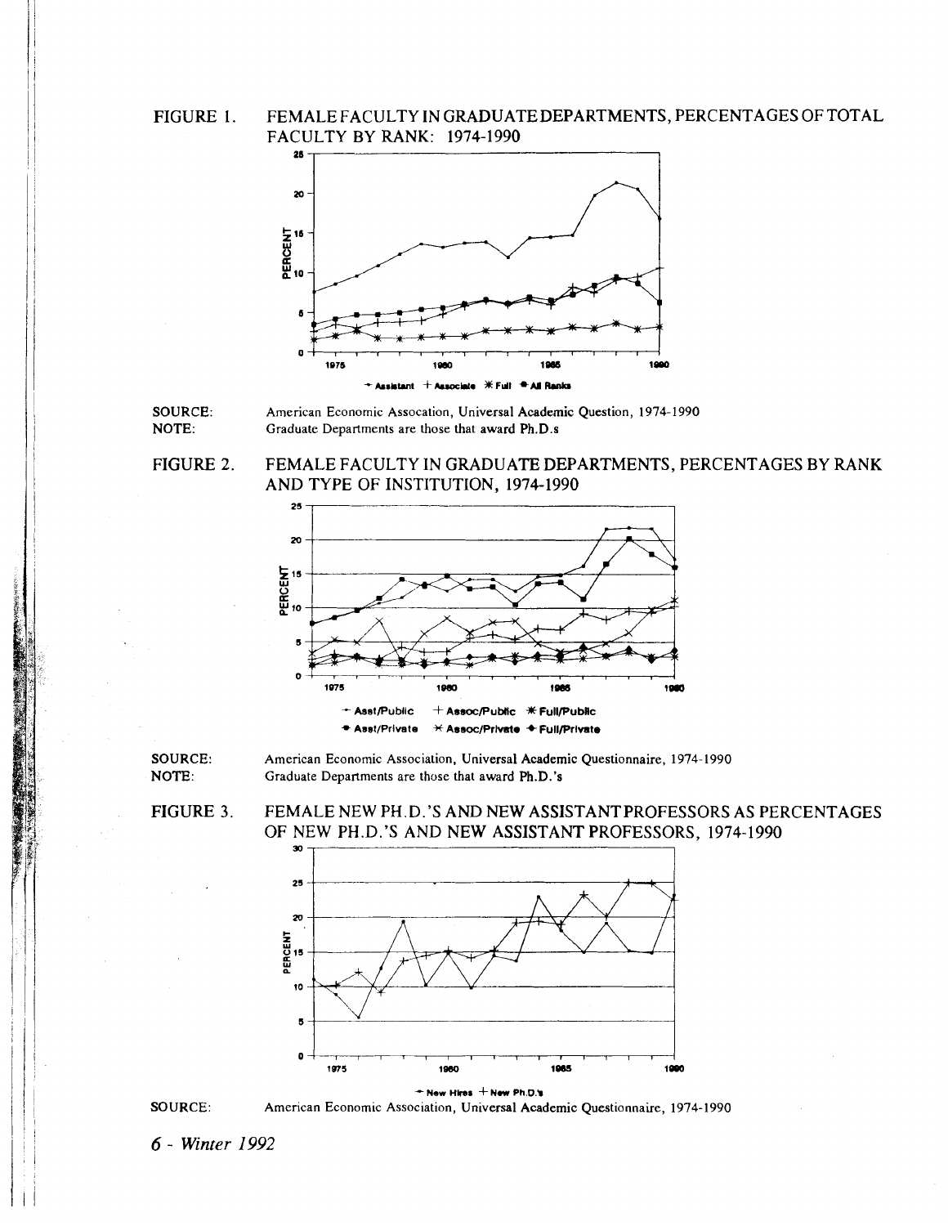**FIGURE 1. FEMALE FACULTY IN GRADUATEDEPARTMENTS, PERCENTAGES OF TOTAL FACULTY BY RANK: 1974-1990** 



**SOURCE: American Economic Assocation, Universal Academic Question, 1974-1990 NOTE: Graduate Departments are those that award Ph.D.s** 

**FIGURE 2. FEMALE FACULTY IN GRADUATE DEPARTMENTS, PERCENTAGES BY RANK AND TYPE OF INSTITUTION, 1974-1990** 



**SOURCE:** American Economic Association, Universal Academic Questionnaire, 1974-1990<br> **NOTE:** Graduate Departments are those that award Ph.D.'s Graduate Departments are those that award Ph.D.'s

**FIGURE 3. FEMALE NEW PH.D.'S AND NEW ASSISTANTPROFESSORS AS PERCENTAGES OF NEW PH.D.'S AND NEW ASSISTANT PROFESSORS, 1974-1990** 





**6** - **Winter** *1992*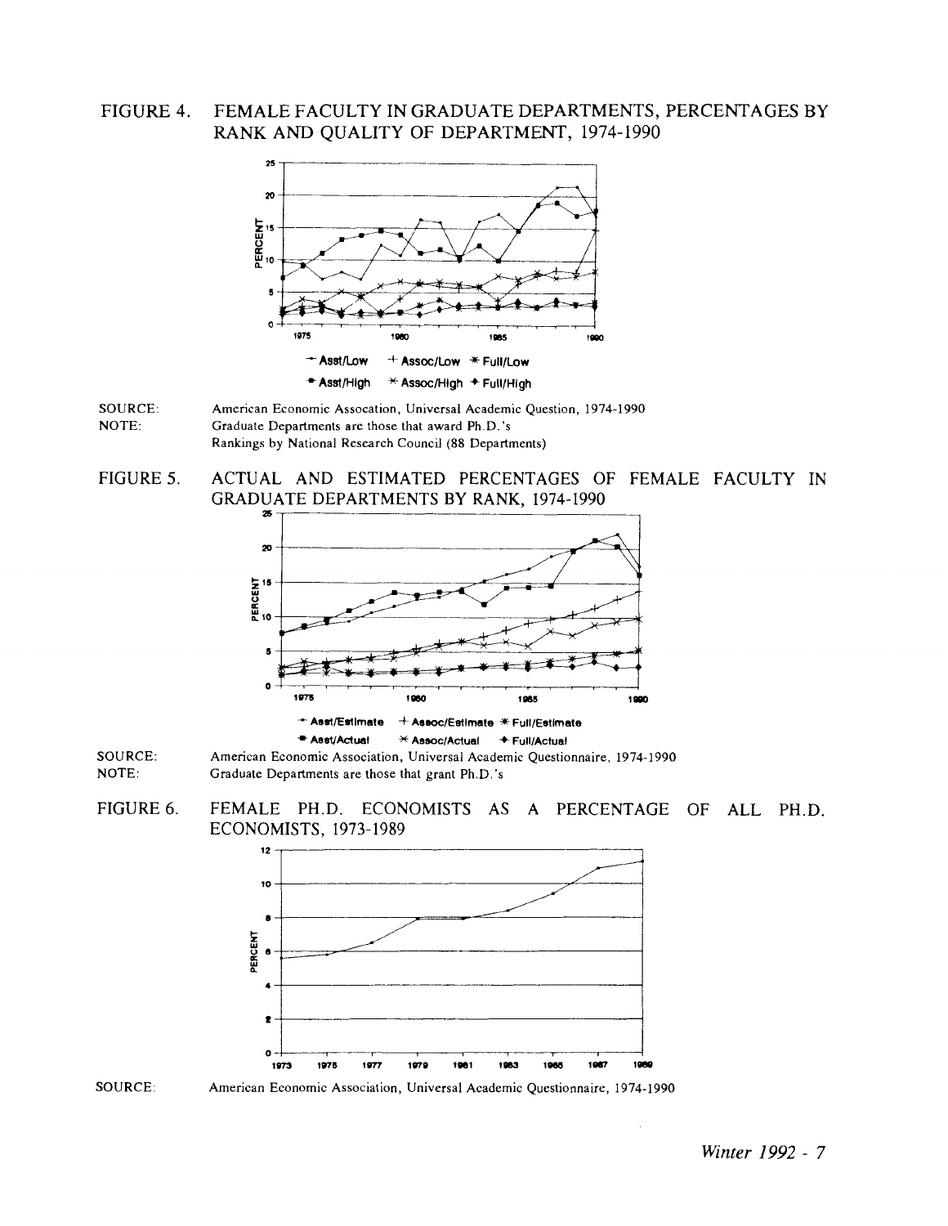#### FIGURE 4. FEMALE FACULTY IN GRADUATE DEPARTMENTS, PERCENTAGES BY RANK AND QUALITY OF DEPARTMENT, 1974-1990





FIGURE 5. ACTUAL AND ESTIMATED PERCENTAGES OF FEMALE FACULTY IN **GRADUATE DEPARTMENTS BY RANK, 1974-1990** 



SOURCE: American Economic Association, Universal Academic Questionnaire, 1974-1990 NOTE: Graduate Departments are those that grant Ph.D.'s







American Economic Association, Universal Academic Questionnaire, 1974-1990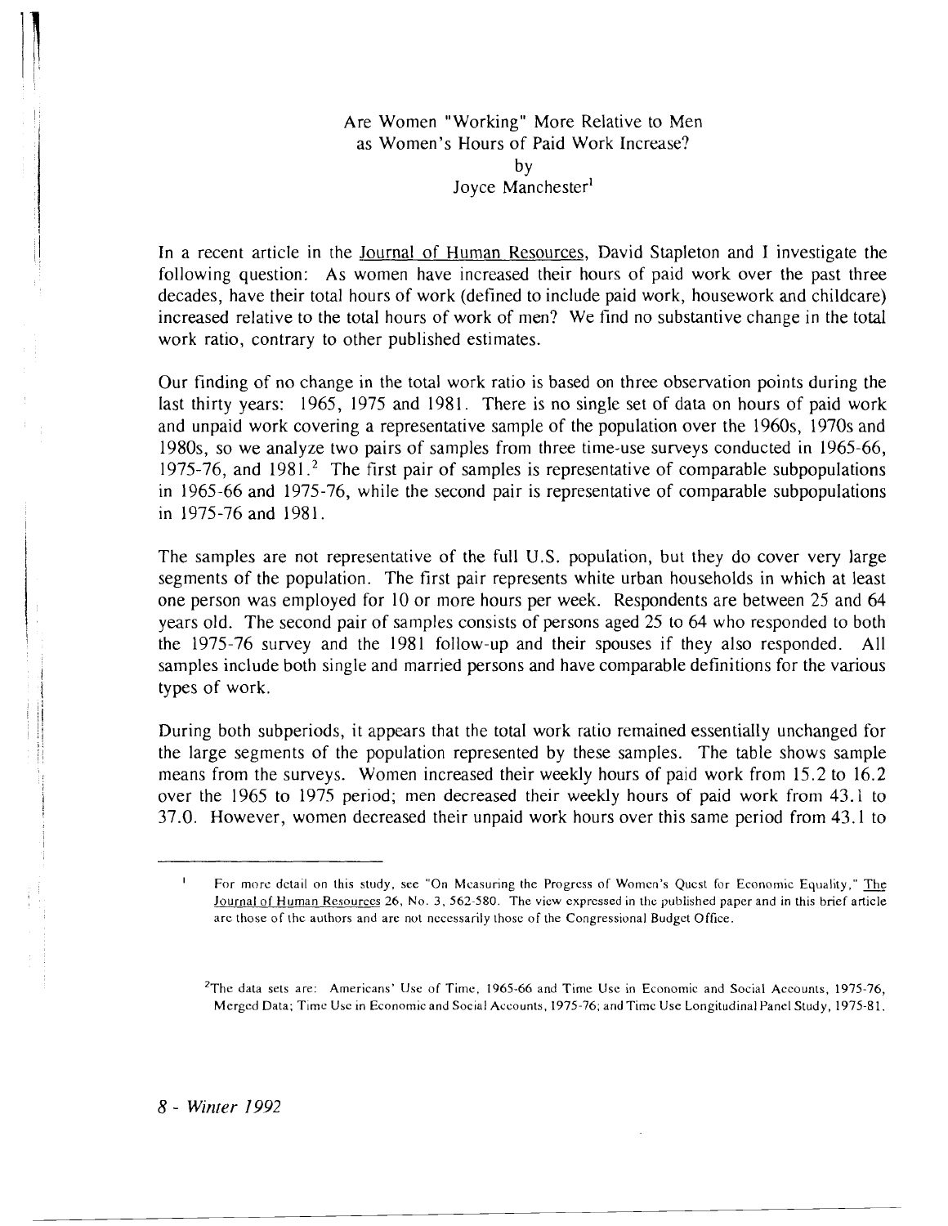## Are Women "Working" More Relative to Men as Women's Hours of Paid Work Increase? by<br>Joyce Manchester<sup>1</sup>

In a recent article in the Journal of Human Resources, David Stapleton and I investigate the following question: As women have increased their hours of paid work over the past three decades, have their total hours of work (defined to include paid work, housework and childcare) increased relative to the total hours of work of men? We find no substantive change in the total work ratio, contrary to other published estimates.

Our finding of no change in the total work ratio is based on three observation points during the last thirty years: 1965, 1975 and 1981. There is no single set of data on hours of paid work and unpaid work covering a representative sample of the population over the 1960s, 1970s and 1980s, so we analyze two pairs of samples from three time-use surveys conducted in 1965-66, 1975-76, and  $1981<sup>2</sup>$ . The first pair of samples is representative of comparable subpopulations in 1965-66 and 1975-76, while the second pair is representative of comparable subpopulations in 1975-76 and 1981.

The samples are not representative of the full U.S. population, but they do cover very large segments of the population. The first pair represents white urban households in which at least one person was employed for 10 or more hours per week. Respondents are between 25 and 64 years old. The second pair of samples consists of persons aged 25 to 64 who responded to both the 1975-76 survey and the 1981 follow-up and their spouses if they also responded. All samples include both single and married persons and have comparable definitions for the various types of work.

During both subperiods, it appears that the total work ratio remained essentially unchanged for the large segments of the population represented by these samples. The table shows sample means from the surveys. Women increased their weekly hours of paid work from 15.2 to 16.2 over the 1965 to 1975 period; men decreased their weekly hours of paid work from 43.1 to 37.0. However, women decreased their unpaid work hours over this same period from 43.1 to

*8* - *Winrer 1992* 

<sup>&#</sup>x27; For more dctail on this study, see "On Measuring the Progrcss of Womcn's Qucst for Economic Equality," me Journal of Human Re5ourccs 26, No. **3.** 562-580. The view expressed in thc published paper and in this brief article arc those of thc authors and are not ncccssarily thosc of the Congressional Budgct Office.

<sup>&</sup>lt;sup>2</sup>The data sets are: Americans' Use of Time, 1965-66 and Time Use in Economic and Social Accounts, 1975-76, Merged Data; Time Usc in Economicand Social Accounts, 1975-76; and Timc Use Longitudinal Panel Study, 1975-81.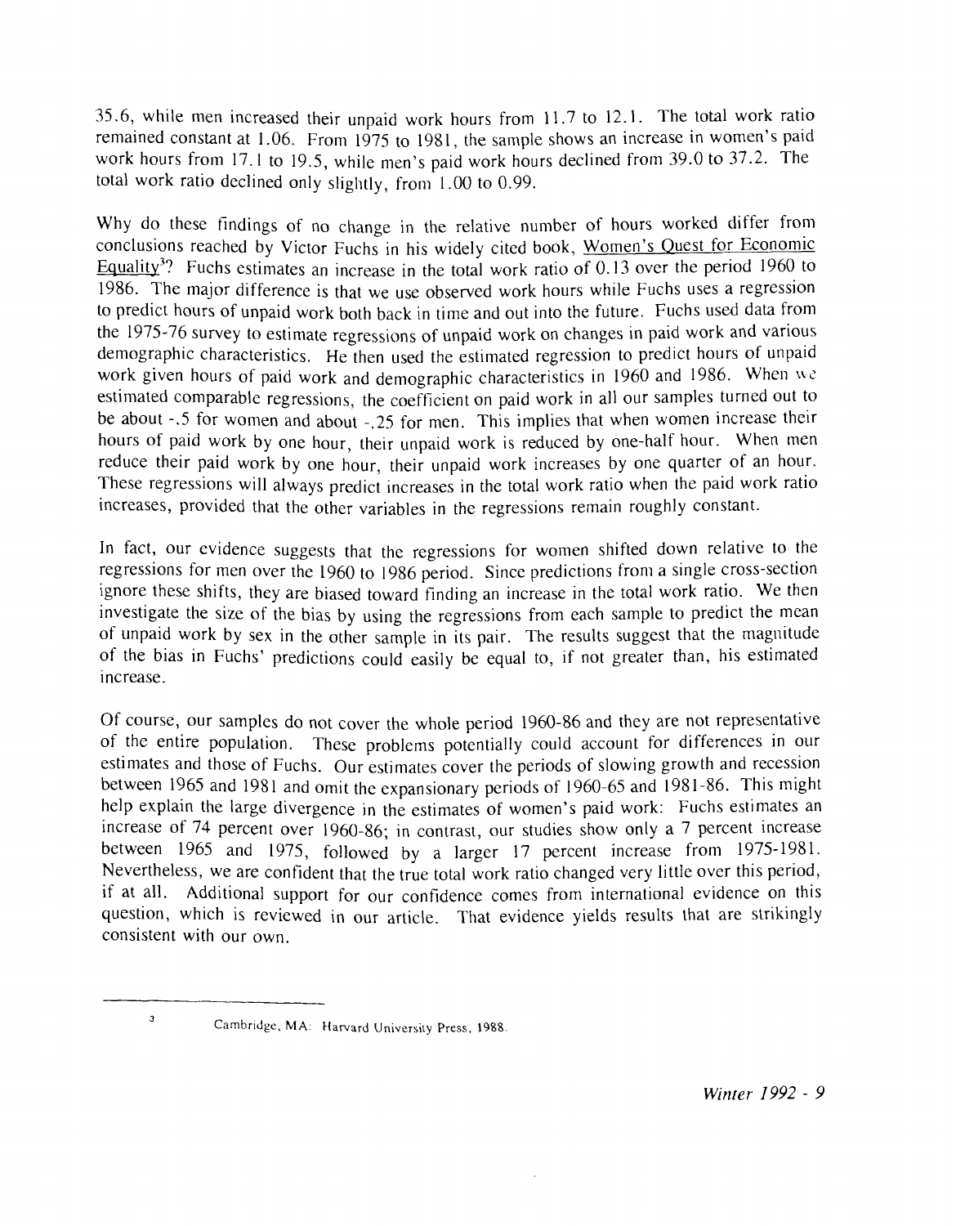35.6, while men increased their unpaid work hours from 11.7 to 12.1. The total work ratio remained constant at 1.06. From 1975 to 1981, the sample shows an increase in women's paid work hours from 17.1 to 19.5, while men's paid work hours declined from 39.0 to 37.2. The total work ratio declined only slightly, from 1.00 to 0.99.

Why do these findings of no change in the relative number of hours worked differ from conclusions reached by Victor Fuchs in his widely cited book, Women's Quest for Economic Equality<sup>3</sup>? Fuchs estimates an increase in the total work ratio of 0.13 over the period 1960 to 1986. The major difference is that we use observed work hours while Fuchs uses a regression to predict hours of unpaid work both back in time and out into the future. Fuchs used data from the 1975-76 survey to estimate regressions of unpaid work on changes in paid work and various demographic characteristics. He then used the estimated regression to predict hours of unpaid work given hours of paid work and demographic characteristics in 1960 and 1986. When we estimated comparable regressions, the coefficient on paid work in all our samples turned out to be about -.5 for women and about -.25 for men. This implies that when women increase their hours of paid work by one hour, their unpaid work is reduced by one-half hour. When men reduce their paid work by one hour, their unpaid work increases by one quarter of an hour. These regressions will always predict increases in the total work ratio when the paid work ratio increases, provided that the other variables in the regressions remain roughly constant.

In fact, our evidence suggests that the regressions for women shifted down relative to the regressions for men over the 1960 to 1986 period. Since predictions from a single cross-section ignore these shifts, they are biased toward finding an increase in the total work ratio. We then investigate the size of the bias by using the regressions from each sample to predict the mean of unpaid work by sex in the other sample in its pair. The results suggest that the magnitude of the bias in Fuchs' predictions could easily be equal to, if not greater than, his estimated increase.

Of course, our samples do not cover the whole period 1960-86 and they are not representative of the entire population. These problems potentially could account for differences in our estimates and those of Fuchs. Our estimates cover the periods of slowing growth and recession between 1965 and 1981 and omit the expansionary periods of 1960-65 and 1981-86. This might help explain the large divergence in the estimates of women's paid work: Fuchs estimates an increase of 74 percent over 1960-86; in contrast, our studies show only a 7 percent increase between 1965 and 1975, followed by a larger 17 percent increase from 1975-1981. Nevertheless, we are confident that the true total work ratio changed very little over this period, if at all. Additional support for our confidence comes from international evidence on this question, which is reviewed in our article. That evidence yields results that are strikingly consistent with our own.

**<sup>3</sup>**Cambridge, **MA:** Harvard University Press, 1988.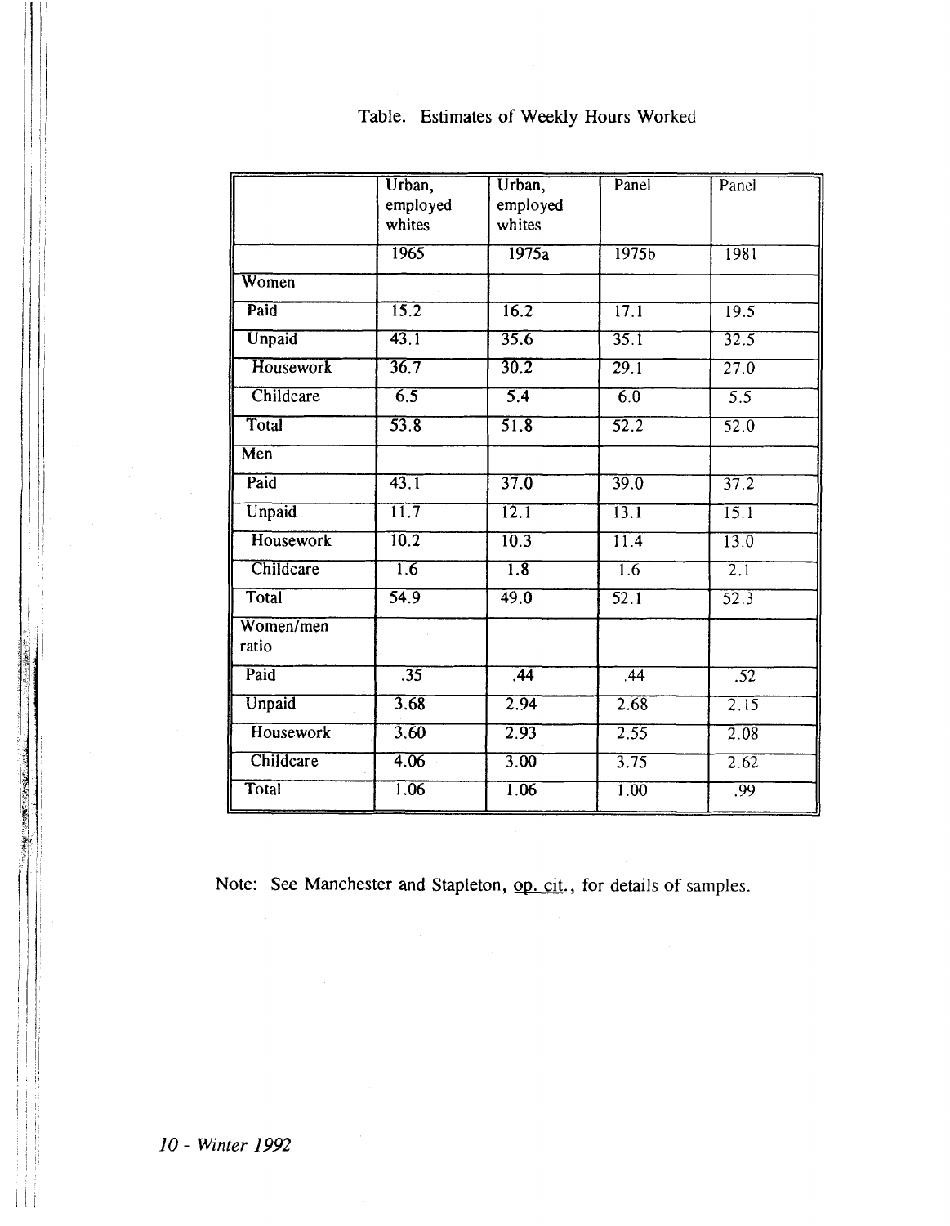|                         | Urban,<br>employed<br>whites | Urban,<br>employed<br>whites | Panel             | Panel             |
|-------------------------|------------------------------|------------------------------|-------------------|-------------------|
|                         | 1965                         | 1975a                        | 1975 <sub>b</sub> | 1981              |
| Women                   |                              |                              |                   |                   |
| Paid                    | 15.2                         | 16.2                         | 17.1              | 19.5              |
| Unpaid                  | 43.1                         | 35.6                         | 35.1              | 32.5              |
| <b>Housework</b>        | 36.7                         | 30.2                         | $\overline{29.1}$ | $\overline{27.0}$ |
| Childcare               | $\overline{6.5}$             | $\overline{5.4}$             | $\overline{6.0}$  | $\overline{5.5}$  |
| Total                   | $\overline{53.8}$            | 51.8                         | $\overline{52.2}$ | $\overline{52.0}$ |
| $\overline{\text{Men}}$ |                              |                              |                   |                   |
| Paid                    | 43.1                         | 37.0                         | 39.0              | $\overline{37.2}$ |
| Unpaid                  | $\overline{11.7}$            | 12.1                         | 13.1              | $\overline{15.1}$ |
| <b>Housework</b>        | 10.2                         | 10.3                         | $\overline{11.4}$ | $\overline{13.0}$ |
| Childcare               | $\overline{1.6}$             | $\overline{1.8}$             | 1.6               | $\overline{2.1}$  |
| Total                   | $\overline{54.9}$            | 49.0                         | $\overline{52.1}$ | 52.3              |
| Women/men<br>ratio      |                              |                              |                   |                   |
| Paid                    | $\overline{.35}$             | .44                          | .44               | $\overline{.52}$  |
| Unpaid                  | 3.68                         | 2.94                         | 2.68              | 2.15              |
| <b>Housework</b>        | 3,60                         | 2.93                         | 2.55              | 2.08              |
| Childcare               | 4.06                         | $\overline{3.00}$            | 3.75              | $\overline{2.62}$ |
| Total                   | 1.06                         | 1.06                         | 1.00              | .99               |

## Table. Estimates of Weekly Hours Worked

Note: See Manchester and Stapleton, op. cit., for details of samples.